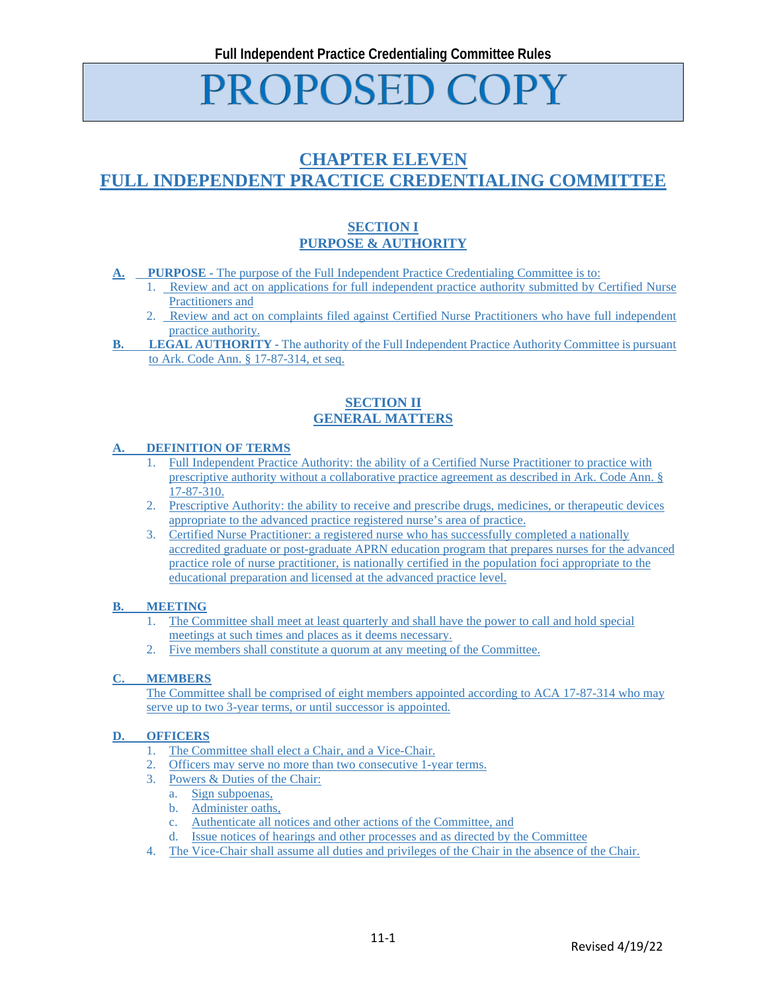# **PROPOSED COPY**

# **CHAPTER ELEVEN FULL INDEPENDENT PRACTICE CREDENTIALING COMMITTEE**

## **SECTION I PURPOSE & AUTHORITY**

- **A. PURPOSE -** The purpose of the Full Independent Practice Credentialing Committee is to:
	- 1. Review and act on applications for full independent practice authority submitted by Certified Nurse Practitioners and
	- 2. Review and act on complaints filed against Certified Nurse Practitioners who have full independent practice authority.
- **B. LEGAL AUTHORITY** The authority of the Full Independent Practice Authority Committee is pursuant to Ark. Code Ann. § 17-87-314, et seq.

### **SECTION II GENERAL MATTERS**

#### **DEFINITION OF TERMS**

- 1. Full Independent Practice Authority: the ability of a Certified Nurse Practitioner to practice with prescriptive authority without a collaborative practice agreement as described in Ark. Code Ann. § 17-87-310.
- 2. Prescriptive Authority: the ability to receive and prescribe drugs, medicines, or therapeutic devices appropriate to the advanced practice registered nurse's area of practice.
- 3. Certified Nurse Practitioner: a registered nurse who has successfully completed a nationally accredited graduate or post-graduate APRN education program that prepares nurses for the advanced practice role of nurse practitioner, is nationally certified in the population foci appropriate to the educational preparation and licensed at the advanced practice level.

#### **B. MEETING**

- 1. The Committee shall meet at least quarterly and shall have the power to call and hold special meetings at such times and places as it deems necessary.
- 2. Five members shall constitute a quorum at any meeting of the Committee.

#### **C. MEMBERS**

The Committee shall be comprised of eight members appointed according to ACA 17-87-314 who may serve up to two 3-year terms, or until successor is appointed.

#### **D. OFFICERS**

- 1. The Committee shall elect a Chair, and a Vice-Chair.
- 2. Officers may serve no more than two consecutive 1-year terms.
- 3. Powers & Duties of the Chair:
	- a. Sign subpoenas,
	- b. Administer oaths,
	- c. Authenticate all notices and other actions of the Committee, and
	- d. Issue notices of hearings and other processes and as directed by the Committee
- 4. The Vice-Chair shall assume all duties and privileges of the Chair in the absence of the Chair.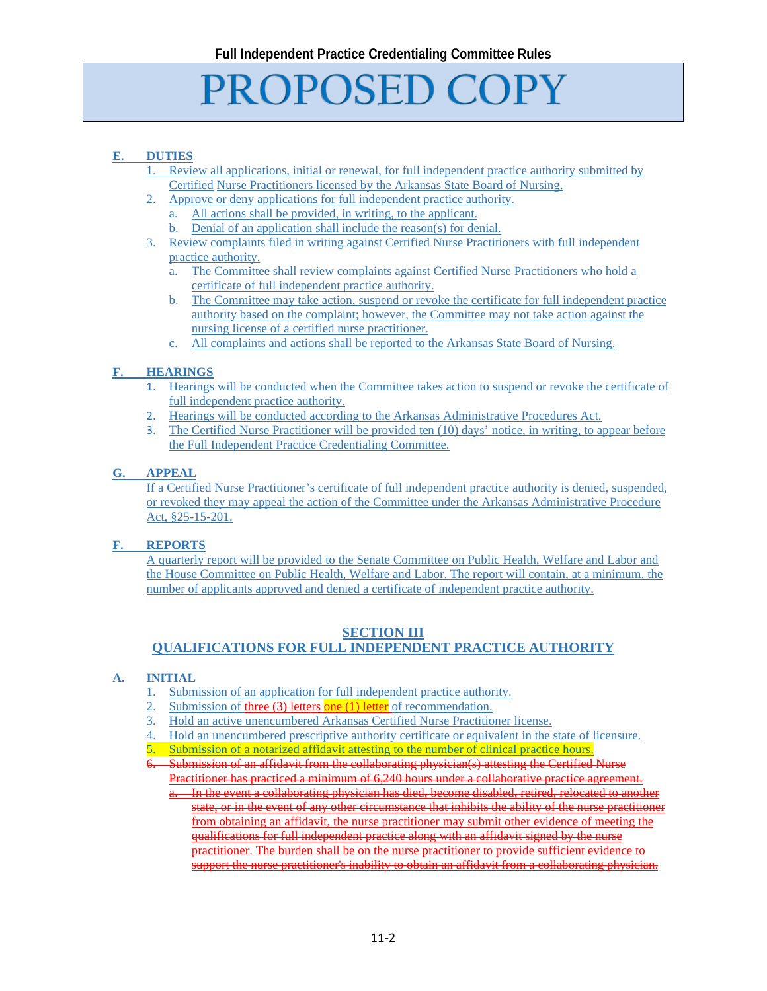# **PROPOSED COPY**

## **E. DUTIES**

- Review all applications, initial or renewal, for full independent practice authority submitted by Certified Nurse Practitioners licensed by the Arkansas State Board of Nursing.
- 2. Approve or deny applications for full independent practice authority.
	- a. All actions shall be provided, in writing, to the applicant.
	- b. Denial of an application shall include the reason(s) for denial.
- 3. Review complaints filed in writing against Certified Nurse Practitioners with full independent practice authority.
	- a. The Committee shall review complaints against Certified Nurse Practitioners who hold a certificate of full independent practice authority.
	- b. The Committee may take action, suspend or revoke the certificate for full independent practice authority based on the complaint; however, the Committee may not take action against the nursing license of a certified nurse practitioner.
	- c. All complaints and actions shall be reported to the Arkansas State Board of Nursing.

#### **F. HEARINGS**

- 1. Hearings will be conducted when the Committee takes action to suspend or revoke the certificate of full independent practice authority.
- 2. Hearings will be conducted according to the Arkansas Administrative Procedures Act.
- 3. The Certified Nurse Practitioner will be provided ten (10) days' notice, in writing, to appear before the Full Independent Practice Credentialing Committee.

#### **G. APPEAL**

If a Certified Nurse Practitioner's certificate of full independent practice authority is denied, suspended, or revoked they may appeal the action of the Committee under the Arkansas Administrative Procedure Act, §25-15-201.

#### **F. REPORTS**

A quarterly report will be provided to the Senate Committee on Public Health, Welfare and Labor and the House Committee on Public Health, Welfare and Labor. The report will contain, at a minimum, the number of applicants approved and denied a certificate of independent practice authority.

#### **SECTION III**

# **QUALIFICATIONS FOR FULL INDEPENDENT PRACTICE AUTHORITY**

#### **A. INITIAL**

- 1. Submission of an application for full independent practice authority.
- 2. Submission of three (3) letters one (1) letter of recommendation.
- 3. Hold an active unencumbered Arkansas Certified Nurse Practitioner license.
- 4. Hold an unencumbered prescriptive authority certificate or equivalent in the state of licensure.
- 5. Submission of a notarized affidavit attesting to the number of clinical practice hours.
- 6. Submission of an affidavit from the collaborating physician(s) attesting the Certified Nurse Practitioner has practiced a minimum of 6,240 hours under a collaborative practice agreement.
	- In the event a collaborating physician has died, become disabled, retired, relocated to another state, or in the event of any other circumstance that inhibits the ability of the nurse practitioner from obtaining an affidavit, the nurse practitioner may submit other evidence of meeting the qualifications for full independent practice along with an affidavit signed by the nurse practitioner. The burden shall be on the nurse practitioner to provide sufficient evidence to support the nurse practitioner's inability to obtain an affidavit from a collaborating physician.